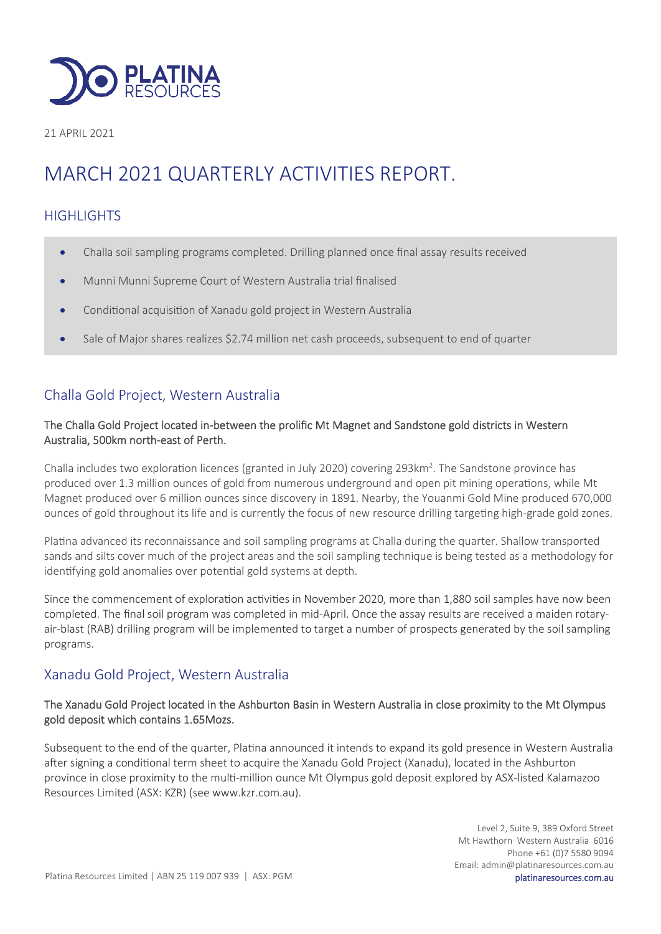

21 APRIL 2021

# MARCH 2021 QUARTERLY ACTIVITIES REPORT.

## **HIGHLIGHTS**

- Challa soil sampling programs completed. Drilling planned once final assay results received
- Munni Munni Supreme Court of Western Australia trial finalised
- Conditional acquisition of Xanadu gold project in Western Australia
- Sale of Major shares realizes \$2.74 million net cash proceeds, subsequent to end of quarter

# Challa Gold Project, Western Australia

#### The Challa Gold Project located in-between the prolific Mt Magnet and Sandstone gold districts in Western Australia, 500km north-east of Perth.

Challa includes two exploration licences (granted in July 2020) covering 293km<sup>2</sup>. The Sandstone province has produced over 1.3 million ounces of gold from numerous underground and open pit mining operations, while Mt Magnet produced over 6 million ounces since discovery in 1891. Nearby, the Youanmi Gold Mine produced 670,000 ounces of gold throughout its life and is currently the focus of new resource drilling targeting high-grade gold zones.

Platina advanced its reconnaissance and soil sampling programs at Challa during the quarter. Shallow transported sands and silts cover much of the project areas and the soil sampling technique is being tested as a methodology for identifying gold anomalies over potential gold systems at depth.

Since the commencement of exploration activities in November 2020, more than 1,880 soil samples have now been completed. The final soil program was completed in mid-April. Once the assay results are received a maiden rotaryair-blast (RAB) drilling program will be implemented to target a number of prospects generated by the soil sampling programs.

## Xanadu Gold Project, Western Australia

#### The Xanadu Gold Project located in the Ashburton Basin in Western Australia in close proximity to the Mt Olympus gold deposit which contains 1.65Mozs.

Subsequent to the end of the quarter, Platina announced it intends to expand its gold presence in Western Australia after signing a conditional term sheet to acquire the Xanadu Gold Project (Xanadu), located in the Ashburton province in close proximity to the multi-million ounce Mt Olympus gold deposit explored by ASX-listed Kalamazoo Resources Limited (ASX: KZR) (see www.kzr.com.au).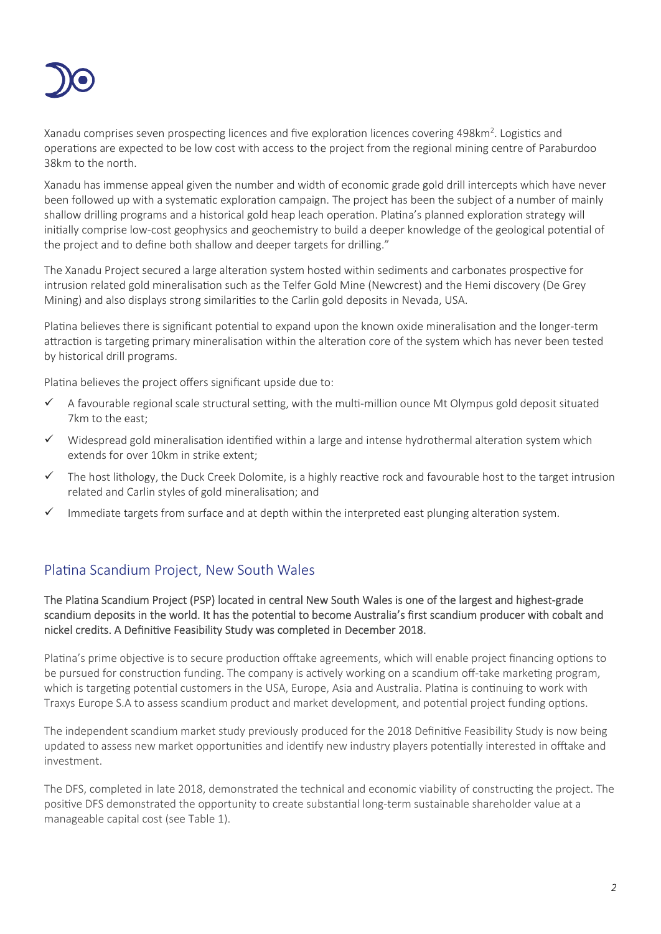

Xanadu comprises seven prospecting licences and five exploration licences covering 498km<sup>2</sup>. Logistics and operations are expected to be low cost with access to the project from the regional mining centre of Paraburdoo 38km to the north.

Xanadu has immense appeal given the number and width of economic grade gold drill intercepts which have never been followed up with a systematic exploration campaign. The project has been the subject of a number of mainly shallow drilling programs and a historical gold heap leach operation. Platina's planned exploration strategy will initially comprise low-cost geophysics and geochemistry to build a deeper knowledge of the geological potential of the project and to define both shallow and deeper targets for drilling."

The Xanadu Project secured a large alteration system hosted within sediments and carbonates prospective for intrusion related gold mineralisation such as the Telfer Gold Mine (Newcrest) and the Hemi discovery (De Grey Mining) and also displays strong similarities to the Carlin gold deposits in Nevada, USA.

Platina believes there is significant potential to expand upon the known oxide mineralisation and the longer-term attraction is targeting primary mineralisation within the alteration core of the system which has never been tested by historical drill programs.

Platina believes the project offers significant upside due to:

- $\checkmark$  A favourable regional scale structural setting, with the multi-million ounce Mt Olympus gold deposit situated 7km to the east;
- $\checkmark$  Widespread gold mineralisation identified within a large and intense hydrothermal alteration system which extends for over 10km in strike extent;
- $\checkmark$  The host lithology, the Duck Creek Dolomite, is a highly reactive rock and favourable host to the target intrusion related and Carlin styles of gold mineralisation; and
- $\checkmark$  Immediate targets from surface and at depth within the interpreted east plunging alteration system.

## Platina Scandium Project, New South Wales

The Platina Scandium Project (PSP) located in central New South Wales is one of the largest and highest-grade scandium deposits in the world. It has the potential to become Australia's first scandium producer with cobalt and nickel credits. A Definitive Feasibility Study was completed in December 2018.

Platina's prime objective is to secure production offtake agreements, which will enable project financing options to be pursued for construction funding. The company is actively working on a scandium off-take marketing program, which is targeting potential customers in the USA, Europe, Asia and Australia. Platina is continuing to work with Traxys Europe S.A to assess scandium product and market development, and potential project funding options.

The independent scandium market study previously produced for the 2018 Definitive Feasibility Study is now being updated to assess new market opportunities and identify new industry players potentially interested in offtake and investment.

The DFS, completed in late 2018, demonstrated the technical and economic viability of constructing the project. The positive DFS demonstrated the opportunity to create substantial long-term sustainable shareholder value at a manageable capital cost (see Table 1).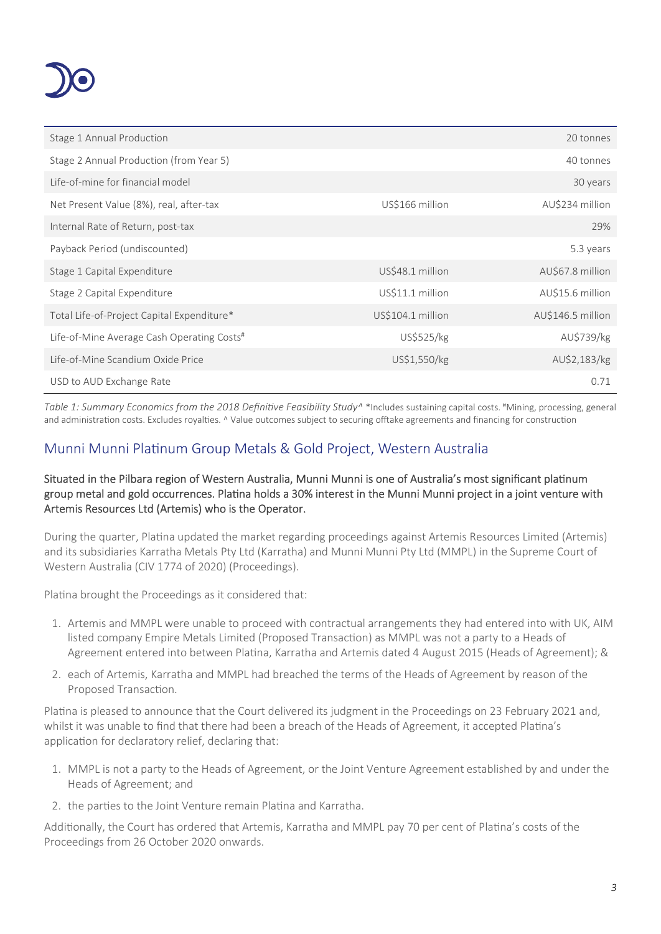

| Stage 1 Annual Production                              |                   | 20 tonnes         |
|--------------------------------------------------------|-------------------|-------------------|
| Stage 2 Annual Production (from Year 5)                |                   | 40 tonnes         |
| Life-of-mine for financial model                       |                   | 30 years          |
| Net Present Value (8%), real, after-tax                | US\$166 million   | AU\$234 million   |
| Internal Rate of Return, post-tax                      |                   | 29%               |
| Payback Period (undiscounted)                          |                   | 5.3 years         |
| Stage 1 Capital Expenditure                            | US\$48.1 million  | AU\$67.8 million  |
| Stage 2 Capital Expenditure                            | US\$11.1 million  | AU\$15.6 million  |
| Total Life-of-Project Capital Expenditure*             | US\$104.1 million | AU\$146.5 million |
| Life-of-Mine Average Cash Operating Costs <sup>#</sup> | US\$525/kg        | AU\$739/kg        |
| Life-of-Mine Scandium Oxide Price                      | US\$1,550/kg      | AU\$2,183/kg      |
| USD to AUD Exchange Rate                               |                   | 0.71              |

*Table 1: Summary Economics from the 2018 Definive Feasibility Study^* \*Includes sustaining capital costs. #Mining, processing, general and administration costs. Excludes royalties. ^ Value outcomes subject to securing offtake agreements and financing for construction

# Munni Munni Platinum Group Metals & Gold Project, Western Australia

#### Situated in the Pilbara region of Western Australia, Munni Munni is one of Australia's most significant platinum group metal and gold occurrences. Platina holds a 30% interest in the Munni Munni project in a joint venture with Artemis Resources Ltd (Artemis) who is the Operator.

During the quarter, Platina updated the market regarding proceedings against Artemis Resources Limited (Artemis) and its subsidiaries Karratha Metals Pty Ltd (Karratha) and Munni Munni Pty Ltd (MMPL) in the Supreme Court of Western Australia (CIV 1774 of 2020) (Proceedings).

Platina brought the Proceedings as it considered that:

- 1. Artemis and MMPL were unable to proceed with contractual arrangements they had entered into with UK, AIM listed company Empire Metals Limited (Proposed Transaction) as MMPL was not a party to a Heads of Agreement entered into between Platina, Karratha and Artemis dated 4 August 2015 (Heads of Agreement); &
- 2. each of Artemis, Karratha and MMPL had breached the terms of the Heads of Agreement by reason of the Proposed Transaction.

Platina is pleased to announce that the Court delivered its judgment in the Proceedings on 23 February 2021 and, whilst it was unable to find that there had been a breach of the Heads of Agreement, it accepted Platina's application for declaratory relief, declaring that:

- 1. MMPL is not a party to the Heads of Agreement, or the Joint Venture Agreement established by and under the Heads of Agreement; and
- 2. the parties to the Joint Venture remain Platina and Karratha.

Additionally, the Court has ordered that Artemis, Karratha and MMPL pay 70 per cent of Platina's costs of the Proceedings from 26 October 2020 onwards.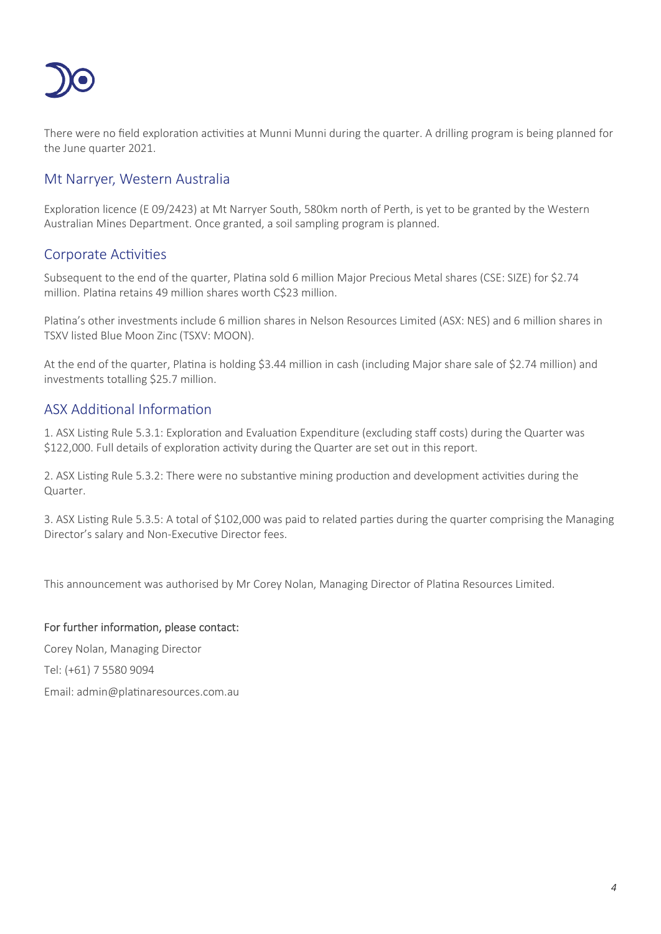

There were no field exploration activities at Munni Munni during the quarter. A drilling program is being planned for the June quarter 2021.

## Mt Narryer, Western Australia

Exploration licence (E 09/2423) at Mt Narryer South, 580km north of Perth, is yet to be granted by the Western Australian Mines Department. Once granted, a soil sampling program is planned.

## Corporate Activities

Subsequent to the end of the quarter, Platina sold 6 million Major Precious Metal shares (CSE: SIZE) for \$2.74 million. Platina retains 49 million shares worth C\$23 million.

Platina's other investments include 6 million shares in Nelson Resources Limited (ASX: NES) and 6 million shares in TSXV listed Blue Moon Zinc (TSXV: MOON).

At the end of the quarter, Platina is holding \$3.44 million in cash (including Major share sale of \$2.74 million) and investments totalling \$25.7 million.

## ASX Additional Information

1. ASX Listing Rule 5.3.1: Exploration and Evaluation Expenditure (excluding staff costs) during the Quarter was \$122,000. Full details of exploration activity during the Quarter are set out in this report.

2. ASX Listing Rule 5.3.2: There were no substantive mining production and development activities during the Quarter.

3. ASX Listing Rule 5.3.5: A total of \$102,000 was paid to related parties during the quarter comprising the Managing Director's salary and Non-Executive Director fees.

This announcement was authorised by Mr Corey Nolan, Managing Director of Platina Resources Limited.

#### For further information, please contact:

Corey Nolan, Managing Director Tel: (+61) 7 5580 9094 Email: admin@platinaresources.com.au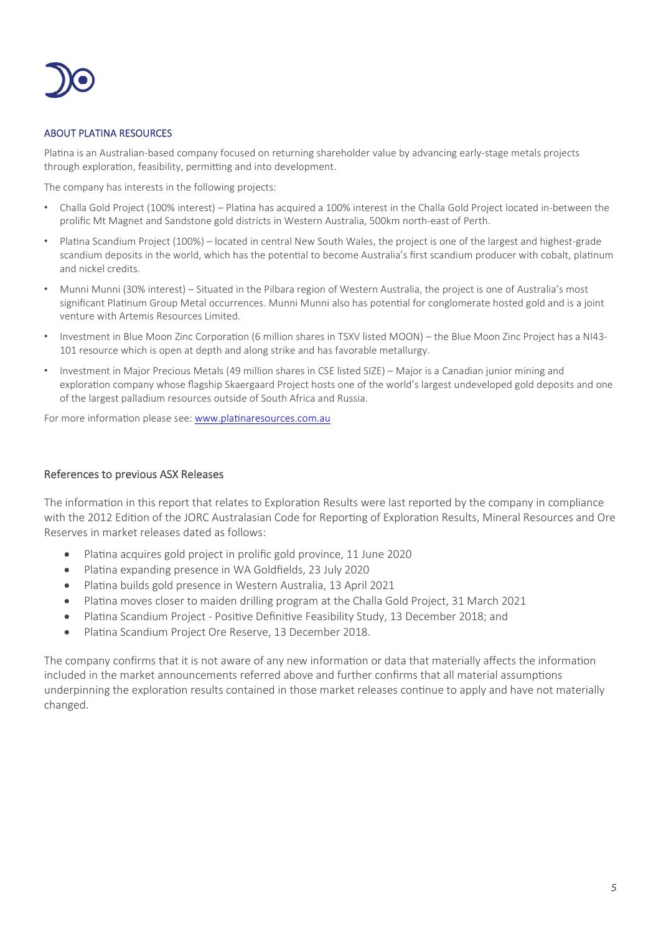

#### ABOUT PLATINA RESOURCES

Platina is an Australian-based company focused on returning shareholder value by advancing early-stage metals projects through exploration, feasibility, permitting and into development.

The company has interests in the following projects:

- Challa Gold Project (100% interest) Platina has acquired a 100% interest in the Challa Gold Project located in-between the prolific Mt Magnet and Sandstone gold districts in Western Australia, 500km north-east of Perth.
- Platina Scandium Project (100%) located in central New South Wales, the project is one of the largest and highest-grade scandium deposits in the world, which has the potential to become Australia's first scandium producer with cobalt, platinum and nickel credits.
- Munni Munni (30% interest) Situated in the Pilbara region of Western Australia, the project is one of Australia's most significant Platinum Group Metal occurrences. Munni Munni also has potential for conglomerate hosted gold and is a joint venture with Artemis Resources Limited.
- Investment in Blue Moon Zinc Corporation (6 million shares in TSXV listed MOON) the Blue Moon Zinc Project has a NI43-101 resource which is open at depth and along strike and has favorable metallurgy.
- Investment in Major Precious Metals (49 million shares in CSE listed SIZE) Major is a Canadian junior mining and exploration company whose flagship Skaergaard Project hosts one of the world's largest undeveloped gold deposits and one of the largest palladium resources outside of South Africa and Russia.

For more information please see: www.platinaresources.com.au

#### References to previous ASX Releases

The information in this report that relates to Exploration Results were last reported by the company in compliance with the 2012 Edition of the JORC Australasian Code for Reporting of Exploration Results, Mineral Resources and Ore Reserves in market releases dated as follows:

- Platina acquires gold project in prolific gold province, 11 June 2020
- Platina expanding presence in WA Goldfields, 23 July 2020
- Platina builds gold presence in Western Australia, 13 April 2021
- Platina moves closer to maiden drilling program at the Challa Gold Project, 31 March 2021
- Platina Scandium Project Positive Definitive Feasibility Study, 13 December 2018; and
- Platina Scandium Project Ore Reserve, 13 December 2018.

The company confirms that it is not aware of any new information or data that materially affects the information included in the market announcements referred above and further confirms that all material assumptions underpinning the exploration results contained in those market releases continue to apply and have not materially changed.